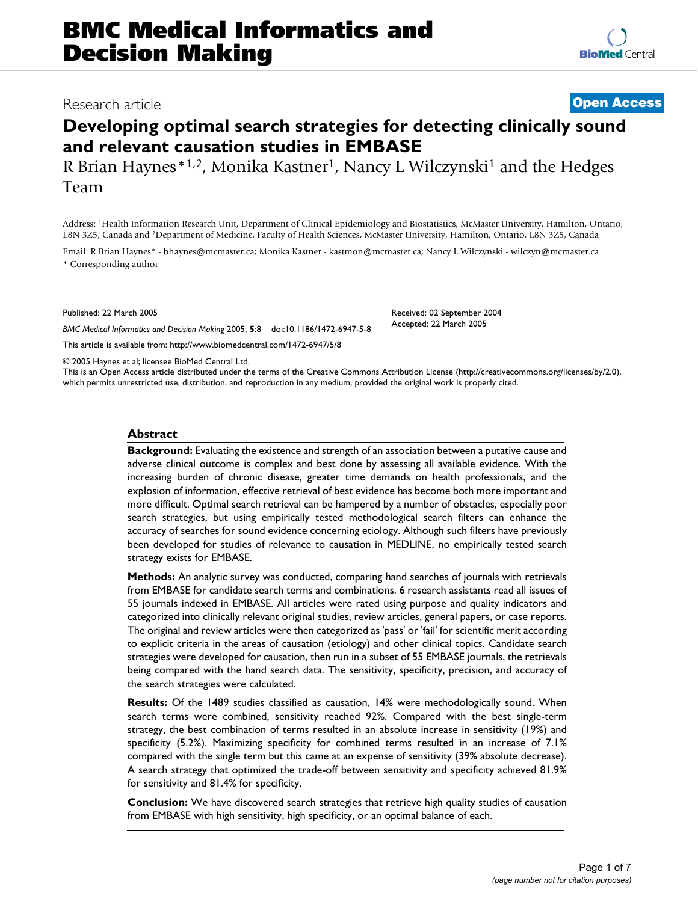# **Developing optimal search strategies for detecting clinically sound and relevant causation studies in EMBASE**

R Brian Haynes<sup>\*1,2</sup>, Monika Kastner<sup>1</sup>, Nancy L Wilczynski<sup>1</sup> and the Hedges Team

Address: 1Health Information Research Unit, Department of Clinical Epidemiology and Biostatistics, McMaster University, Hamilton, Ontario, L8N 3Z5, Canada and 2Department of Medicine, Faculty of Health Sciences, McMaster University, Hamilton, Ontario, L8N 3Z5, Canada

Email: R Brian Haynes\* - bhaynes@mcmaster.ca; Monika Kastner - kastmon@mcmaster.ca; Nancy L Wilczynski - wilczyn@mcmaster.ca \* Corresponding author

Published: 22 March 2005

*BMC Medical Informatics and Decision Making* 2005, **5**:8 doi:10.1186/1472-6947-5-8

[This article is available from: http://www.biomedcentral.com/1472-6947/5/8](http://www.biomedcentral.com/1472-6947/5/8)

© 2005 Haynes et al; licensee BioMed Central Ltd.

This is an Open Access article distributed under the terms of the Creative Commons Attribution License [\(http://creativecommons.org/licenses/by/2.0\)](http://creativecommons.org/licenses/by/2.0), which permits unrestricted use, distribution, and reproduction in any medium, provided the original work is properly cited.

# **Abstract**

**Background:** Evaluating the existence and strength of an association between a putative cause and adverse clinical outcome is complex and best done by assessing all available evidence. With the increasing burden of chronic disease, greater time demands on health professionals, and the explosion of information, effective retrieval of best evidence has become both more important and more difficult. Optimal search retrieval can be hampered by a number of obstacles, especially poor search strategies, but using empirically tested methodological search filters can enhance the accuracy of searches for sound evidence concerning etiology. Although such filters have previously been developed for studies of relevance to causation in MEDLINE, no empirically tested search strategy exists for EMBASE.

**Methods:** An analytic survey was conducted, comparing hand searches of journals with retrievals from EMBASE for candidate search terms and combinations. 6 research assistants read all issues of 55 journals indexed in EMBASE. All articles were rated using purpose and quality indicators and categorized into clinically relevant original studies, review articles, general papers, or case reports. The original and review articles were then categorized as 'pass' or 'fail' for scientific merit according to explicit criteria in the areas of causation (etiology) and other clinical topics. Candidate search strategies were developed for causation, then run in a subset of 55 EMBASE journals, the retrievals being compared with the hand search data. The sensitivity, specificity, precision, and accuracy of the search strategies were calculated.

**Results:** Of the 1489 studies classified as causation, 14% were methodologically sound. When search terms were combined, sensitivity reached 92%. Compared with the best single-term strategy, the best combination of terms resulted in an absolute increase in sensitivity (19%) and specificity (5.2%). Maximizing specificity for combined terms resulted in an increase of 7.1% compared with the single term but this came at an expense of sensitivity (39% absolute decrease). A search strategy that optimized the trade-off between sensitivity and specificity achieved 81.9% for sensitivity and 81.4% for specificity.

**Conclusion:** We have discovered search strategies that retrieve high quality studies of causation from EMBASE with high sensitivity, high specificity, or an optimal balance of each.

Received: 02 September 2004 Accepted: 22 March 2005

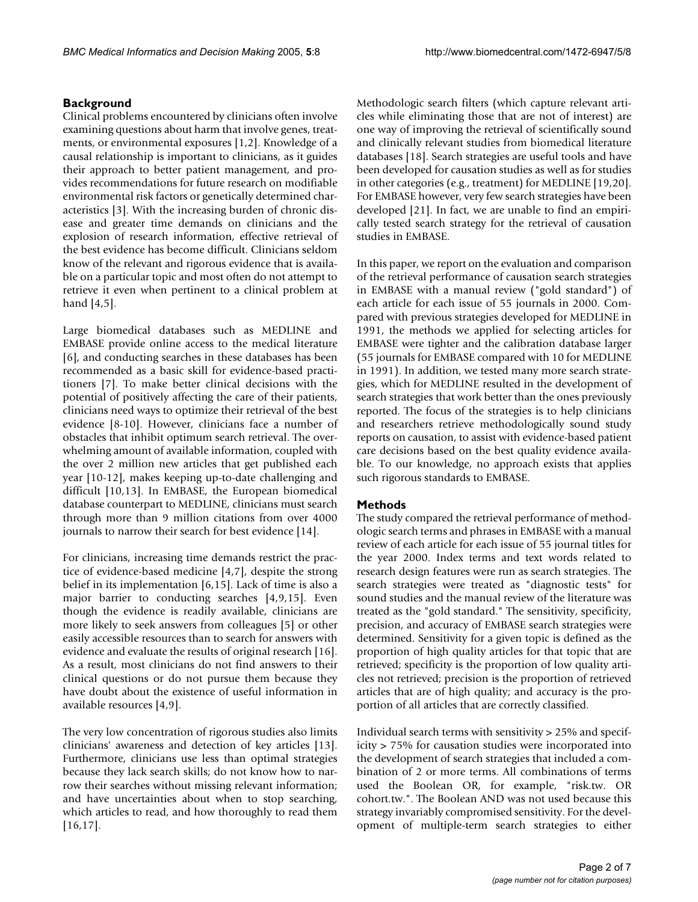# **Background**

Clinical problems encountered by clinicians often involve examining questions about harm that involve genes, treatments, or environmental exposures [1,2]. Knowledge of a causal relationship is important to clinicians, as it guides their approach to better patient management, and provides recommendations for future research on modifiable environmental risk factors or genetically determined characteristics [3]. With the increasing burden of chronic disease and greater time demands on clinicians and the explosion of research information, effective retrieval of the best evidence has become difficult. Clinicians seldom know of the relevant and rigorous evidence that is available on a particular topic and most often do not attempt to retrieve it even when pertinent to a clinical problem at hand [4,5].

Large biomedical databases such as MEDLINE and EMBASE provide online access to the medical literature [6], and conducting searches in these databases has been recommended as a basic skill for evidence-based practitioners [7]. To make better clinical decisions with the potential of positively affecting the care of their patients, clinicians need ways to optimize their retrieval of the best evidence [8-10]. However, clinicians face a number of obstacles that inhibit optimum search retrieval. The overwhelming amount of available information, coupled with the over 2 million new articles that get published each year [10-12], makes keeping up-to-date challenging and difficult [10,13]. In EMBASE, the European biomedical database counterpart to MEDLINE, clinicians must search through more than 9 million citations from over 4000 journals to narrow their search for best evidence [14].

For clinicians, increasing time demands restrict the practice of evidence-based medicine [4,7], despite the strong belief in its implementation [6,15]. Lack of time is also a major barrier to conducting searches [4,9,15]. Even though the evidence is readily available, clinicians are more likely to seek answers from colleagues [5] or other easily accessible resources than to search for answers with evidence and evaluate the results of original research [16]. As a result, most clinicians do not find answers to their clinical questions or do not pursue them because they have doubt about the existence of useful information in available resources [4,9].

The very low concentration of rigorous studies also limits clinicians' awareness and detection of key articles [13]. Furthermore, clinicians use less than optimal strategies because they lack search skills; do not know how to narrow their searches without missing relevant information; and have uncertainties about when to stop searching, which articles to read, and how thoroughly to read them [16,17].

Methodologic search filters (which capture relevant articles while eliminating those that are not of interest) are one way of improving the retrieval of scientifically sound and clinically relevant studies from biomedical literature databases [18]. Search strategies are useful tools and have been developed for causation studies as well as for studies in other categories (e.g., treatment) for MEDLINE [19,20]. For EMBASE however, very few search strategies have been developed [21]. In fact, we are unable to find an empirically tested search strategy for the retrieval of causation studies in EMBASE.

In this paper, we report on the evaluation and comparison of the retrieval performance of causation search strategies in EMBASE with a manual review ("gold standard") of each article for each issue of 55 journals in 2000. Compared with previous strategies developed for MEDLINE in 1991, the methods we applied for selecting articles for EMBASE were tighter and the calibration database larger (55 journals for EMBASE compared with 10 for MEDLINE in 1991). In addition, we tested many more search strategies, which for MEDLINE resulted in the development of search strategies that work better than the ones previously reported. The focus of the strategies is to help clinicians and researchers retrieve methodologically sound study reports on causation, to assist with evidence-based patient care decisions based on the best quality evidence available. To our knowledge, no approach exists that applies such rigorous standards to EMBASE.

# **Methods**

The study compared the retrieval performance of methodologic search terms and phrases in EMBASE with a manual review of each article for each issue of 55 journal titles for the year 2000. Index terms and text words related to research design features were run as search strategies. The search strategies were treated as "diagnostic tests" for sound studies and the manual review of the literature was treated as the "gold standard." The sensitivity, specificity, precision, and accuracy of EMBASE search strategies were determined. Sensitivity for a given topic is defined as the proportion of high quality articles for that topic that are retrieved; specificity is the proportion of low quality articles not retrieved; precision is the proportion of retrieved articles that are of high quality; and accuracy is the proportion of all articles that are correctly classified.

Individual search terms with sensitivity > 25% and specificity > 75% for causation studies were incorporated into the development of search strategies that included a combination of 2 or more terms. All combinations of terms used the Boolean OR, for example, "risk.tw. OR cohort.tw.". The Boolean AND was not used because this strategy invariably compromised sensitivity. For the development of multiple-term search strategies to either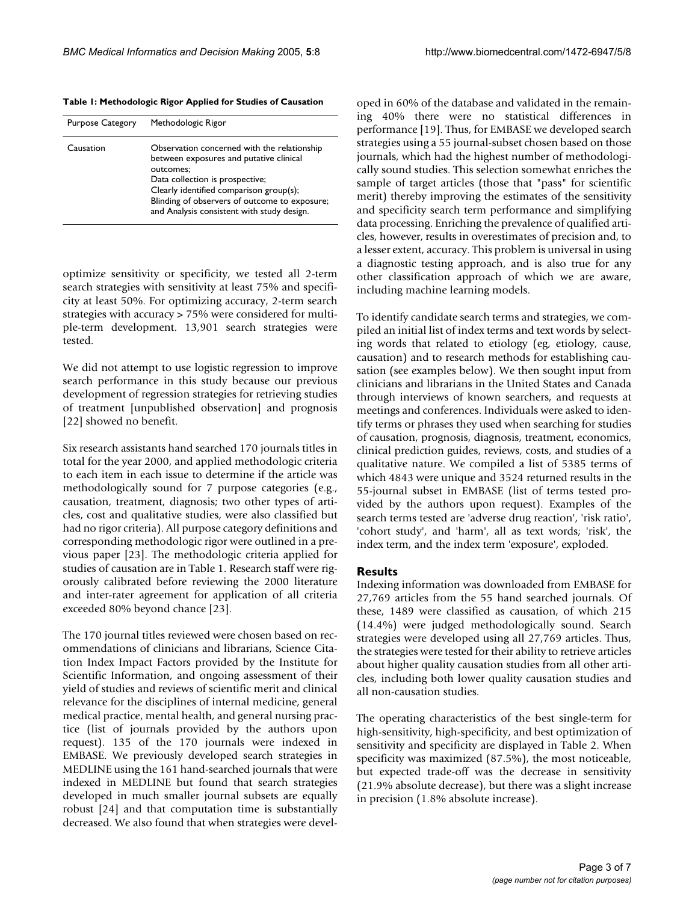**Table 1: Methodologic Rigor Applied for Studies of Causation**

| <b>Purpose Category</b> | Methodologic Rigor                                                                                                                                                                                                                                                               |
|-------------------------|----------------------------------------------------------------------------------------------------------------------------------------------------------------------------------------------------------------------------------------------------------------------------------|
| Causation               | Observation concerned with the relationship<br>between exposures and putative clinical<br>outcomes:<br>Data collection is prospective;<br>Clearly identified comparison group(s);<br>Blinding of observers of outcome to exposure;<br>and Analysis consistent with study design. |

optimize sensitivity or specificity, we tested all 2-term search strategies with sensitivity at least 75% and specificity at least 50%. For optimizing accuracy, 2-term search strategies with accuracy > 75% were considered for multiple-term development. 13,901 search strategies were tested.

We did not attempt to use logistic regression to improve search performance in this study because our previous development of regression strategies for retrieving studies of treatment [unpublished observation] and prognosis [22] showed no benefit.

Six research assistants hand searched 170 journals titles in total for the year 2000, and applied methodologic criteria to each item in each issue to determine if the article was methodologically sound for 7 purpose categories (e.g., causation, treatment, diagnosis; two other types of articles, cost and qualitative studies, were also classified but had no rigor criteria). All purpose category definitions and corresponding methodologic rigor were outlined in a previous paper [23]. The methodologic criteria applied for studies of causation are in Table 1. Research staff were rigorously calibrated before reviewing the 2000 literature and inter-rater agreement for application of all criteria exceeded 80% beyond chance [23].

The 170 journal titles reviewed were chosen based on recommendations of clinicians and librarians, Science Citation Index Impact Factors provided by the Institute for Scientific Information, and ongoing assessment of their yield of studies and reviews of scientific merit and clinical relevance for the disciplines of internal medicine, general medical practice, mental health, and general nursing practice (list of journals provided by the authors upon request). 135 of the 170 journals were indexed in EMBASE. We previously developed search strategies in MEDLINE using the 161 hand-searched journals that were indexed in MEDLINE but found that search strategies developed in much smaller journal subsets are equally robust [24] and that computation time is substantially decreased. We also found that when strategies were developed in 60% of the database and validated in the remaining 40% there were no statistical differences in performance [19]. Thus, for EMBASE we developed search strategies using a 55 journal-subset chosen based on those journals, which had the highest number of methodologically sound studies. This selection somewhat enriches the sample of target articles (those that "pass" for scientific merit) thereby improving the estimates of the sensitivity and specificity search term performance and simplifying data processing. Enriching the prevalence of qualified articles, however, results in overestimates of precision and, to a lesser extent, accuracy. This problem is universal in using a diagnostic testing approach, and is also true for any other classification approach of which we are aware, including machine learning models.

To identify candidate search terms and strategies, we compiled an initial list of index terms and text words by selecting words that related to etiology (eg, etiology, cause, causation) and to research methods for establishing causation (see examples below). We then sought input from clinicians and librarians in the United States and Canada through interviews of known searchers, and requests at meetings and conferences. Individuals were asked to identify terms or phrases they used when searching for studies of causation, prognosis, diagnosis, treatment, economics, clinical prediction guides, reviews, costs, and studies of a qualitative nature. We compiled a list of 5385 terms of which 4843 were unique and 3524 returned results in the 55-journal subset in EMBASE (list of terms tested provided by the authors upon request). Examples of the search terms tested are 'adverse drug reaction', 'risk ratio', 'cohort study', and 'harm', all as text words; 'risk', the index term, and the index term 'exposure', exploded.

### **Results**

Indexing information was downloaded from EMBASE for 27,769 articles from the 55 hand searched journals. Of these, 1489 were classified as causation, of which 215 (14.4%) were judged methodologically sound. Search strategies were developed using all 27,769 articles. Thus, the strategies were tested for their ability to retrieve articles about higher quality causation studies from all other articles, including both lower quality causation studies and all non-causation studies.

The operating characteristics of the best single-term for high-sensitivity, high-specificity, and best optimization of sensitivity and specificity are displayed in Table [2](#page-3-0). When specificity was maximized (87.5%), the most noticeable, but expected trade-off was the decrease in sensitivity (21.9% absolute decrease), but there was a slight increase in precision (1.8% absolute increase).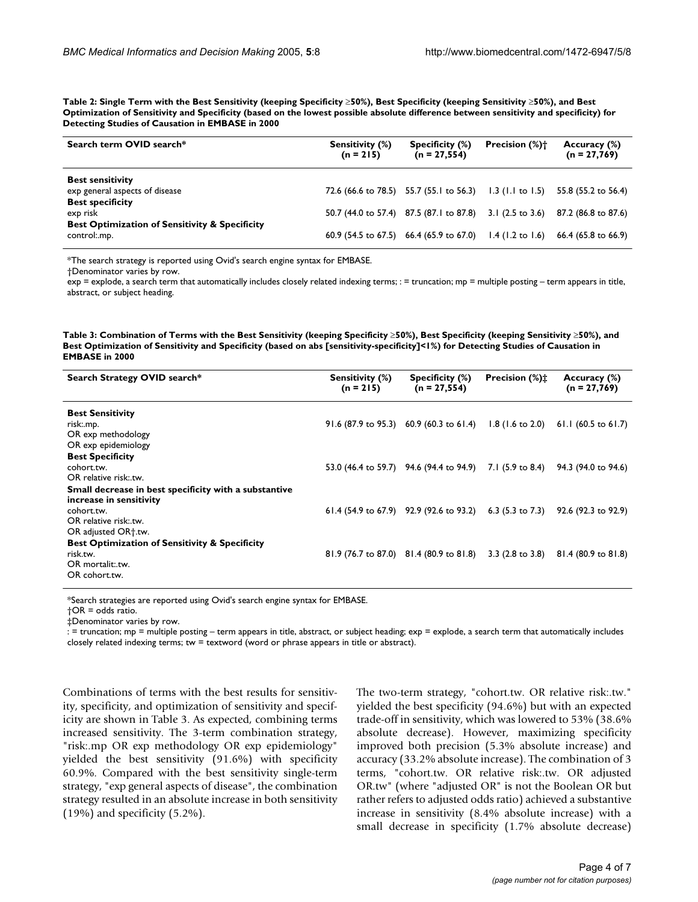<span id="page-3-0"></span>**Table 2: Single Term with the Best Sensitivity (keeping Specificity** ≥**50%), Best Specificity (keeping Sensitivity** ≥**50%), and Best Optimization of Sensitivity and Specificity (based on the lowest possible absolute difference between sensitivity and specificity) for Detecting Studies of Causation in EMBASE in 2000**

| Search term OVID search*                                                             | <b>Sensitivity (%)</b><br>$(n = 215)$ | Specificity (%)<br>$(n = 27,554)$                                                                                        | <b>Precision</b> (%)† | Accuracy (%)<br>$(n = 27,769)$ |
|--------------------------------------------------------------------------------------|---------------------------------------|--------------------------------------------------------------------------------------------------------------------------|-----------------------|--------------------------------|
| <b>Best sensitivity</b><br>exp general aspects of disease<br><b>Best specificity</b> |                                       | 72.6 (66.6 to 78.5) 55.7 (55.1 to 56.3) 1.3 (1.1 to 1.5) 55.8 (55.2 to 56.4)                                             |                       |                                |
| exp risk                                                                             |                                       | 50.7 (44.0 to 57.4) 87.5 (87.1 to 87.8) 3.1 (2.5 to 3.6) 87.2 (86.8 to 87.6)                                             |                       |                                |
| <b>Best Optimization of Sensitivity &amp; Specificity</b><br>control:.mp.            |                                       | 60.9 $(54.5 \text{ to } 67.5)$ 66.4 $(65.9 \text{ to } 67.0)$ 1.4 $(1.2 \text{ to } 1.6)$ 66.4 $(65.8 \text{ to } 66.9)$ |                       |                                |

\*The search strategy is reported using Ovid's search engine syntax for EMBASE.

†Denominator varies by row.

exp = explode, a search term that automatically includes closely related indexing terms; : = truncation; mp = multiple posting – term appears in title, abstract, or subject heading.

<span id="page-3-1"></span>**Table 3: Combination of Terms with the Best Sensitivity (keeping Specificity** ≥**50%), Best Specificity (keeping Sensitivity** ≥**50%), and Best Optimization of Sensitivity and Specificity (based on abs [sensitivity-specificity]<1%) for Detecting Studies of Causation in EMBASE in 2000**

| Search Strategy OVID search*                                                                                                      | Sensitivity (%)<br>$(n = 215)$ | Specificity (%)<br>$(n = 27.554)$                                            | <b>Precision</b> $(\%)\uparrow$ | Accuracy (%)<br>$(n = 27,769)$ |
|-----------------------------------------------------------------------------------------------------------------------------------|--------------------------------|------------------------------------------------------------------------------|---------------------------------|--------------------------------|
| <b>Best Sensitivity</b><br>risk:.mp.<br>OR exp methodology<br>OR exp epidemiology                                                 |                                | 91.6 (87.9 to 95.3) 60.9 (60.3 to 61.4) 1.8 (1.6 to 2.0) 61.1 (60.5 to 61.7) |                                 |                                |
| <b>Best Specificity</b><br>cohort.tw.<br>OR relative risk: tw.                                                                    |                                | 53.0 (46.4 to 59.7) 94.6 (94.4 to 94.9) 7.1 (5.9 to 8.4) 94.3 (94.0 to 94.6) |                                 |                                |
| Small decrease in best specificity with a substantive<br>increase in sensitivity<br>cohort.tw.<br>OR relative risk: tw.           |                                | 61.4 (54.9 to 67.9) 92.9 (92.6 to 93.2) 6.3 (5.3 to 7.3) 92.6 (92.3 to 92.9) |                                 |                                |
| OR adjusted OR†.tw.<br><b>Best Optimization of Sensitivity &amp; Specificity</b><br>risk.tw.<br>OR mortalit: tw.<br>OR cohort.tw. |                                | 81.9 (76.7 to 87.0) 81.4 (80.9 to 81.8) 3.3 (2.8 to 3.8) 81.4 (80.9 to 81.8) |                                 |                                |

\*Search strategies are reported using Ovid's search engine syntax for EMBASE.

†OR = odds ratio.

‡Denominator varies by row.

: = truncation; mp = multiple posting – term appears in title, abstract, or subject heading; exp = explode, a search term that automatically includes closely related indexing terms; tw = textword (word or phrase appears in title or abstract).

Combinations of terms with the best results for sensitivity, specificity, and optimization of sensitivity and specificity are shown in Table [3](#page-3-1). As expected, combining terms increased sensitivity. The 3-term combination strategy, "risk:.mp OR exp methodology OR exp epidemiology" yielded the best sensitivity (91.6%) with specificity 60.9%. Compared with the best sensitivity single-term strategy, "exp general aspects of disease", the combination strategy resulted in an absolute increase in both sensitivity (19%) and specificity (5.2%).

The two-term strategy, "cohort.tw. OR relative risk:.tw." yielded the best specificity (94.6%) but with an expected trade-off in sensitivity, which was lowered to 53% (38.6% absolute decrease). However, maximizing specificity improved both precision (5.3% absolute increase) and accuracy (33.2% absolute increase). The combination of 3 terms, "cohort.tw. OR relative risk:.tw. OR adjusted OR.tw" (where "adjusted OR" is not the Boolean OR but rather refers to adjusted odds ratio) achieved a substantive increase in sensitivity (8.4% absolute increase) with a small decrease in specificity (1.7% absolute decrease)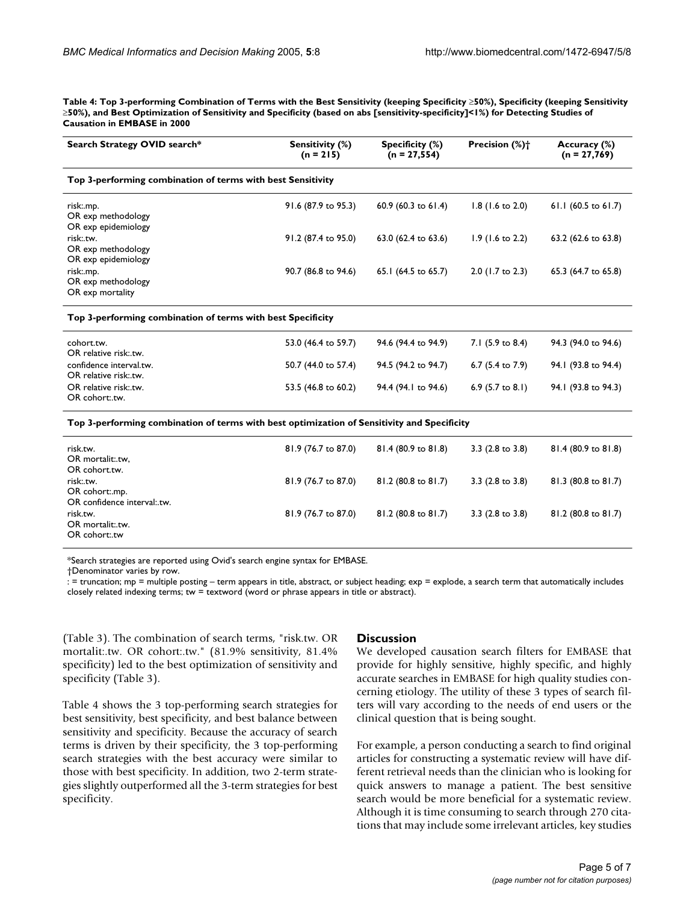**Table 4: Top 3-performing Combination of Terms with the Best Sensitivity (keeping Specificity** ≥**50%), Specificity (keeping Sensitivity**  ≥**50%), and Best Optimization of Sensitivity and Specificity (based on abs [sensitivity-specificity]<1%) for Detecting Studies of Causation in EMBASE in 2000**

| Search Strategy OVID search*                                                                | Sensitivity (%)<br>$(n = 215)$ | Specificity (%)<br>$(n = 27, 554)$ | Precision (%) <sup>+</sup>  | Accuracy (%)<br>$(n = 27,769)$ |  |  |  |  |  |
|---------------------------------------------------------------------------------------------|--------------------------------|------------------------------------|-----------------------------|--------------------------------|--|--|--|--|--|
| Top 3-performing combination of terms with best Sensitivity                                 |                                |                                    |                             |                                |  |  |  |  |  |
| risk:.mp.<br>OR exp methodology<br>OR exp epidemiology                                      | 91.6 (87.9 to 95.3)            | 60.9 (60.3 to 61.4)                | $1.8$ (1.6 to 2.0)          | 61.1 (60.5 to 61.7)            |  |  |  |  |  |
| risk:.tw.<br>OR exp methodology<br>OR exp epidemiology                                      | 91.2 (87.4 to 95.0)            | 63.0 (62.4 to 63.6)                | $1.9$ (1.6 to 2.2)          | 63.2 (62.6 to 63.8)            |  |  |  |  |  |
| risk:.mp.<br>OR exp methodology<br>OR exp mortality                                         | 90.7 (86.8 to 94.6)            | 65.1 (64.5 to 65.7)                | 2.0 (1.7 to 2.3)            | 65.3 (64.7 to 65.8)            |  |  |  |  |  |
| Top 3-performing combination of terms with best Specificity                                 |                                |                                    |                             |                                |  |  |  |  |  |
| cohort.tw.<br>OR relative risk:.tw.                                                         | 53.0 (46.4 to 59.7)            | 94.6 (94.4 to 94.9)                | 7.1 (5.9 to 8.4)            | 94.3 (94.0 to 94.6)            |  |  |  |  |  |
| confidence interval.tw.<br>OR relative risk:.tw.                                            | 50.7 (44.0 to 57.4)            | 94.5 (94.2 to 94.7)                | 6.7 (5.4 to 7.9)            | 94.1 (93.8 to 94.4)            |  |  |  |  |  |
| OR relative risk:.tw.<br>OR cohort:.tw.                                                     | 53.5 (46.8 to 60.2)            | 94.4 (94.1 to 94.6)                | 6.9 $(5.7 \text{ to } 8.1)$ | 94.1 (93.8 to 94.3)            |  |  |  |  |  |
| Top 3-performing combination of terms with best optimization of Sensitivity and Specificity |                                |                                    |                             |                                |  |  |  |  |  |
| risk.tw.<br>OR mortalit:.tw.<br>OR cohort.tw.                                               | 81.9 (76.7 to 87.0)            | 81.4 (80.9 to 81.8)                | 3.3 (2.8 to 3.8)            | 81.4 (80.9 to 81.8)            |  |  |  |  |  |
| risk:.tw.<br>OR cohort:.mp.<br>OR confidence interval:.tw.                                  | 81.9 (76.7 to 87.0)            | 81.2 (80.8 to 81.7)                | $3.3$ (2.8 to 3.8)          | 81.3 (80.8 to 81.7)            |  |  |  |  |  |
| risk.tw.<br>OR mortalit:.tw.<br>OR cohort:.tw                                               | 81.9 (76.7 to 87.0)            | 81.2 (80.8 to 81.7)                | 3.3 (2.8 to 3.8)            | 81.2 (80.8 to 81.7)            |  |  |  |  |  |

\*Search strategies are reported using Ovid's search engine syntax for EMBASE.

†Denominator varies by row.

: = truncation; mp = multiple posting – term appears in title, abstract, or subject heading; exp = explode, a search term that automatically includes closely related indexing terms; tw = textword (word or phrase appears in title or abstract).

(Table [3](#page-3-1)). The combination of search terms, "risk.tw. OR mortalit:.tw. OR cohort:.tw." (81.9% sensitivity, 81.4% specificity) led to the best optimization of sensitivity and specificity (Table [3](#page-3-1)).

Table 4 shows the 3 top-performing search strategies for best sensitivity, best specificity, and best balance between sensitivity and specificity. Because the accuracy of search terms is driven by their specificity, the 3 top-performing search strategies with the best accuracy were similar to those with best specificity. In addition, two 2-term strategies slightly outperformed all the 3-term strategies for best specificity.

# **Discussion**

We developed causation search filters for EMBASE that provide for highly sensitive, highly specific, and highly accurate searches in EMBASE for high quality studies concerning etiology. The utility of these 3 types of search filters will vary according to the needs of end users or the clinical question that is being sought.

For example, a person conducting a search to find original articles for constructing a systematic review will have different retrieval needs than the clinician who is looking for quick answers to manage a patient. The best sensitive search would be more beneficial for a systematic review. Although it is time consuming to search through 270 citations that may include some irrelevant articles, key studies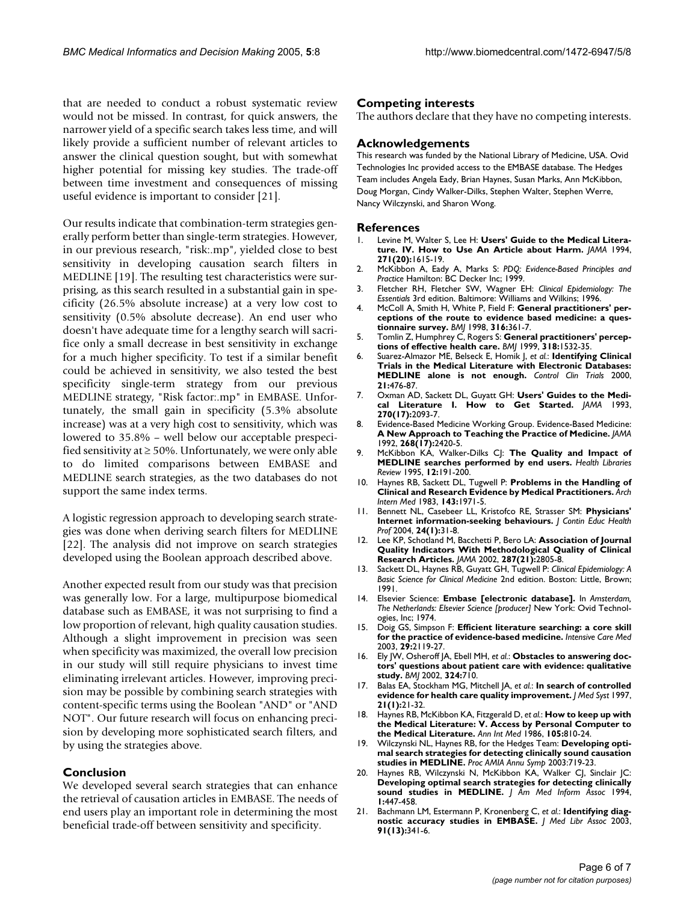that are needed to conduct a robust systematic review would not be missed. In contrast, for quick answers, the narrower yield of a specific search takes less time, and will likely provide a sufficient number of relevant articles to answer the clinical question sought, but with somewhat higher potential for missing key studies. The trade-off between time investment and consequences of missing useful evidence is important to consider [21].

Our results indicate that combination-term strategies generally perform better than single-term strategies. However, in our previous research, "risk:.mp", yielded close to best sensitivity in developing causation search filters in MEDLINE [19]. The resulting test characteristics were surprising, as this search resulted in a substantial gain in specificity (26.5% absolute increase) at a very low cost to sensitivity (0.5% absolute decrease). An end user who doesn't have adequate time for a lengthy search will sacrifice only a small decrease in best sensitivity in exchange for a much higher specificity. To test if a similar benefit could be achieved in sensitivity, we also tested the best specificity single-term strategy from our previous MEDLINE strategy, "Risk factor:.mp" in EMBASE. Unfortunately, the small gain in specificity (5.3% absolute increase) was at a very high cost to sensitivity, which was lowered to 35.8% – well below our acceptable prespecified sensitivity at  $\geq 50\%$ . Unfortunately, we were only able to do limited comparisons between EMBASE and MEDLINE search strategies, as the two databases do not support the same index terms.

A logistic regression approach to developing search strategies was done when deriving search filters for MEDLINE [22]. The analysis did not improve on search strategies developed using the Boolean approach described above.

Another expected result from our study was that precision was generally low. For a large, multipurpose biomedical database such as EMBASE, it was not surprising to find a low proportion of relevant, high quality causation studies. Although a slight improvement in precision was seen when specificity was maximized, the overall low precision in our study will still require physicians to invest time eliminating irrelevant articles. However, improving precision may be possible by combining search strategies with content-specific terms using the Boolean "AND" or "AND NOT". Our future research will focus on enhancing precision by developing more sophisticated search filters, and by using the strategies above.

#### **Conclusion**

We developed several search strategies that can enhance the retrieval of causation articles in EMBASE. The needs of end users play an important role in determining the most beneficial trade-off between sensitivity and specificity.

#### **Competing interests**

The authors declare that they have no competing interests.

#### **Acknowledgements**

This research was funded by the National Library of Medicine, USA. Ovid Technologies Inc provided access to the EMBASE database. The Hedges Team includes Angela Eady, Brian Haynes, Susan Marks, Ann McKibbon, Doug Morgan, Cindy Walker-Dilks, Stephen Walter, Stephen Werre, Nancy Wilczynski, and Sharon Wong.

#### **References**

- 1. Levine M, Walter S, Lee H: **[Users' Guide to the Medical Litera](http://www.ncbi.nlm.nih.gov/entrez/query.fcgi?cmd=Retrieve&db=PubMed&dopt=Abstract&list_uids=8182815)[ture. IV. How to Use An Article about Harm.](http://www.ncbi.nlm.nih.gov/entrez/query.fcgi?cmd=Retrieve&db=PubMed&dopt=Abstract&list_uids=8182815)** *JAMA* 1994, **271(20):**1615-19.
- 2. McKibbon A, Eady A, Marks S: *PDQ: Evidence-Based Principles and Practice* Hamilton: BC Decker Inc; 1999.
- 3. Fletcher RH, Fletcher SW, Wagner EH: *Clinical Epidemiology: The Essentials* 3rd edition. Baltimore: Williams and Wilkins; 1996.
- 4. McColl A, Smith H, White P, Field F: **[General practitioners' per](http://www.ncbi.nlm.nih.gov/entrez/query.fcgi?cmd=Retrieve&db=PubMed&dopt=Abstract&list_uids=9487174)[ceptions of the route to evidence based medicine: a ques](http://www.ncbi.nlm.nih.gov/entrez/query.fcgi?cmd=Retrieve&db=PubMed&dopt=Abstract&list_uids=9487174)[tionnaire survey.](http://www.ncbi.nlm.nih.gov/entrez/query.fcgi?cmd=Retrieve&db=PubMed&dopt=Abstract&list_uids=9487174)** *BMJ* 1998, **316:**361-7.
- 5. Tomlin Z, Humphrey C, Rogers S: **[General practitioners' percep](http://www.ncbi.nlm.nih.gov/entrez/query.fcgi?cmd=Retrieve&db=PubMed&dopt=Abstract&list_uids=10356011)[tions of effective health care.](http://www.ncbi.nlm.nih.gov/entrez/query.fcgi?cmd=Retrieve&db=PubMed&dopt=Abstract&list_uids=10356011)** *BMJ* 1999, **318:**1532-35.
- 6. Suarez-Almazor ME, Belseck E, Homik J, *et al.*: **[Identifying Clinical](http://www.ncbi.nlm.nih.gov/entrez/query.fcgi?cmd=Retrieve&db=PubMed&dopt=Abstract&list_uids=11018564) [Trials in the Medical Literature with Electronic Databases:](http://www.ncbi.nlm.nih.gov/entrez/query.fcgi?cmd=Retrieve&db=PubMed&dopt=Abstract&list_uids=11018564) [MEDLINE alone is not enough.](http://www.ncbi.nlm.nih.gov/entrez/query.fcgi?cmd=Retrieve&db=PubMed&dopt=Abstract&list_uids=11018564)** *Control Clin Trials* 2000, **21:**476-87.
- 7. Oxman AD, Sackett DL, Guyatt GH: **[Users' Guides to the Medi](http://www.ncbi.nlm.nih.gov/entrez/query.fcgi?cmd=Retrieve&db=PubMed&dopt=Abstract&list_uids=8411577)[cal Literature I. How to Get Started.](http://www.ncbi.nlm.nih.gov/entrez/query.fcgi?cmd=Retrieve&db=PubMed&dopt=Abstract&list_uids=8411577)** *JAMA* 1993, **270(17):**2093-7.
- 8. Evidence-Based Medicine Working Group. Evidence-Based Medicine: **[A New Approach to Teaching the Practice of Medicine.](http://www.ncbi.nlm.nih.gov/entrez/query.fcgi?cmd=Retrieve&db=PubMed&dopt=Abstract&list_uids=1404801)** *JAMA* 1992, **268(17):**2420-5.
- 9. McKibbon KA, Walker-Dilks CJ: **[The Quality and Impact of](http://www.ncbi.nlm.nih.gov/entrez/query.fcgi?cmd=Retrieve&db=PubMed&dopt=Abstract&list_uids=10159236) [MEDLINE searches performed by end users.](http://www.ncbi.nlm.nih.gov/entrez/query.fcgi?cmd=Retrieve&db=PubMed&dopt=Abstract&list_uids=10159236)** *Health Libraries Review* 1995, **12:**191-200.
- 10. Haynes RB, Sackett DL, Tugwell P: **[Problems in the Handling of](http://www.ncbi.nlm.nih.gov/entrez/query.fcgi?cmd=Retrieve&db=PubMed&dopt=Abstract&list_uids=6625783) [Clinical and Research Evidence by Medical Practitioners.](http://www.ncbi.nlm.nih.gov/entrez/query.fcgi?cmd=Retrieve&db=PubMed&dopt=Abstract&list_uids=6625783)** *Arch Intern Med* 1983, **143:**1971-5.
- 11. Bennett NL, Casebeer LL, Kristofco RE, Strasser SM: **[Physicians'](http://www.ncbi.nlm.nih.gov/entrez/query.fcgi?cmd=Retrieve&db=PubMed&dopt=Abstract&list_uids=15069910) [Internet information-seeking behaviours.](http://www.ncbi.nlm.nih.gov/entrez/query.fcgi?cmd=Retrieve&db=PubMed&dopt=Abstract&list_uids=15069910)** *J Contin Educ Health Prof* 2004, **24(1):**31-8.
- 12. Lee KP, Schotland M, Bacchetti P, Bero LA: **[Association of Journal](http://www.ncbi.nlm.nih.gov/entrez/query.fcgi?cmd=Retrieve&db=PubMed&dopt=Abstract&list_uids=12038918) [Quality Indicators With Methodological Quality of Clinical](http://www.ncbi.nlm.nih.gov/entrez/query.fcgi?cmd=Retrieve&db=PubMed&dopt=Abstract&list_uids=12038918) [Research Articles.](http://www.ncbi.nlm.nih.gov/entrez/query.fcgi?cmd=Retrieve&db=PubMed&dopt=Abstract&list_uids=12038918)** *JAMA* 2002, **287(21):**2805-8.
- 13. Sackett DL, Haynes RB, Guyatt GH, Tugwell P: *Clinical Epidemiology: A Basic Science for Clinical Medicine* 2nd edition. Boston: Little, Brown; 1991.
- 14. Elsevier Science: **Embase [electronic database].** In *Amsterdam, The Netherlands: Elsevier Science [producer]* New York: Ovid Technologies, Inc; 1974.
- 15. Doig GS, Simpson F: **[Efficient literature searching: a core skill](http://www.ncbi.nlm.nih.gov/entrez/query.fcgi?cmd=Retrieve&db=PubMed&dopt=Abstract&list_uids=12955188) [for the practice of evidence-based medicine.](http://www.ncbi.nlm.nih.gov/entrez/query.fcgi?cmd=Retrieve&db=PubMed&dopt=Abstract&list_uids=12955188)** *Intensive Care Med* 2003, **29:**2119-27.
- 16. Ely JW, Osheroff JA, Ebell MH, *et al.*: **[Obstacles to answering doc](http://www.ncbi.nlm.nih.gov/entrez/query.fcgi?cmd=Retrieve&db=PubMed&dopt=Abstract&list_uids=11909789)[tors' questions about patient care with evidence: qualitative](http://www.ncbi.nlm.nih.gov/entrez/query.fcgi?cmd=Retrieve&db=PubMed&dopt=Abstract&list_uids=11909789) [study.](http://www.ncbi.nlm.nih.gov/entrez/query.fcgi?cmd=Retrieve&db=PubMed&dopt=Abstract&list_uids=11909789)** *BMJ* 2002, **324:**710.
- 17. Balas EA, Stockham MG, Mitchell JA, *et al.*: **[In search of controlled](http://www.ncbi.nlm.nih.gov/entrez/query.fcgi?cmd=Retrieve&db=PubMed&dopt=Abstract&list_uids=9172067) [evidence for health care quality improvement.](http://www.ncbi.nlm.nih.gov/entrez/query.fcgi?cmd=Retrieve&db=PubMed&dopt=Abstract&list_uids=9172067)** *J Med Syst* 1997, **21(1):**21-32.
- 18. Haynes RB, McKibbon KA, Fitzgerald D, *et al.*: **[How to keep up with](http://www.ncbi.nlm.nih.gov/entrez/query.fcgi?cmd=Retrieve&db=PubMed&dopt=Abstract&list_uids=3532898) [the Medical Literature: V. Access by Personal Computer to](http://www.ncbi.nlm.nih.gov/entrez/query.fcgi?cmd=Retrieve&db=PubMed&dopt=Abstract&list_uids=3532898) [the Medical Literature.](http://www.ncbi.nlm.nih.gov/entrez/query.fcgi?cmd=Retrieve&db=PubMed&dopt=Abstract&list_uids=3532898)** *Ann Int Med* 1986, **105:**810-24.
- 19. Wilczynski NL, Haynes RB, for the Hedges Team: **Developing optimal search strategies for detecting clinically sound causation studies in MEDLINE.** *Proc AMIA Annu Symp* 2003:719-23.
- 20. Haynes RB, Wilczynski N, McKibbon KA, Walker CJ, Sinclair JC: **[Developing optimal search strategies for detecting clinically](http://www.ncbi.nlm.nih.gov/entrez/query.fcgi?cmd=Retrieve&db=PubMed&dopt=Abstract&list_uids=7850570) [sound studies in MEDLINE.](http://www.ncbi.nlm.nih.gov/entrez/query.fcgi?cmd=Retrieve&db=PubMed&dopt=Abstract&list_uids=7850570)** *J Am Med Inform Assoc* 1994, **1:**447-458.
- 21. Bachmann LM, Estermann P, Kronenberg C, *et al.*: **[Identifying diag](http://www.ncbi.nlm.nih.gov/entrez/query.fcgi?cmd=Retrieve&db=PubMed&dopt=Abstract&list_uids=12883560)[nostic accuracy studies in EMBASE.](http://www.ncbi.nlm.nih.gov/entrez/query.fcgi?cmd=Retrieve&db=PubMed&dopt=Abstract&list_uids=12883560)** *J Med Libr Assoc* 2003, **91(13):**341-6.